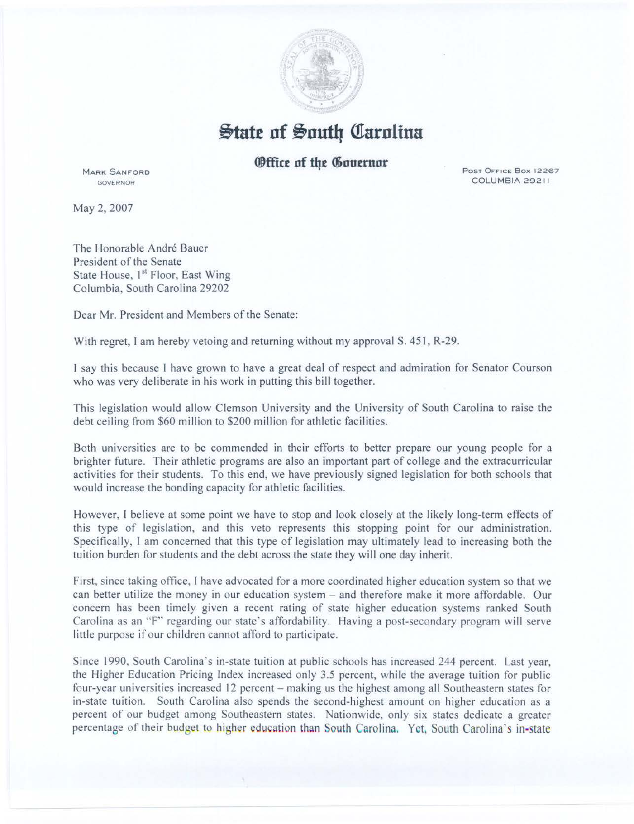

 $\frac{1}{2}$ tate of South Carolina

*<u>Office of the Gouernor</u>* 

Post Office Box 12267 COLUMBIA 29211

**MARK SANFORD** GOVERNOR

May 2, 2007

The Honorable André Bauer President of the Senate State House, 1<sup>st</sup> Floor, East Wing Columbia, South Carolina 29202

Dear Mr. President and Members of the Senate:

With regret, I am hereby vetoing and returning without my approval S. 451, R-29.

I say this because I have grown to have a great deal of respect and admiration for Senator Courson who was very deliberate in his work in putting this bill together.

This legislation would allow Clemson University and the University of South Carolina to raise the debt ceiling from \$60 million to \$200 million for athletic facilities.

Both universities are to be commended in their efforts to better prepare our young people for a brighter future. Their athletic programs are also an important part of college and the extracurricular activities for their students. To this end, we have previously signed legislation for both schools that would increase the bonding capacity for athletic facilities.

However, I believe at some point we have to stop and look closely at the likely long-term effects of this type of legislation, and this veto represents this stopping point for our administration. Specifically, I am concerned that this type of legislation may ultimately lead to increasing both the tuition burden for students and the debt across the state they will one day inherit.

First, since taking office, I have advocated for a more coordinated higher education system so that we can better utilize the money in our education system -and therefore make it more affordable. Our concern has been timely given a recent rating of state higher education systems ranked South Carolina as an "F'' regarding our state's affordability. Having a post-secondary program will serve little purpose if our children cannot afford to participate.

Since 1990, South Carolina's in-state tuition at public schools has increased 244 percent. Last year, the Higher Education Pricing Index increased only 3.5 percent, while the average tuition for public four-year universities increased 12 percent- making us the highest among all Southeastern states for in-state tuition. South Carolina also spends the second-highest amount on higher education as a percent of our budget among Southeastern states. Nationwide, only six states dedicate a greater percentage of their budget to higher education than South Carolina. Yet, South Carolina's in-state